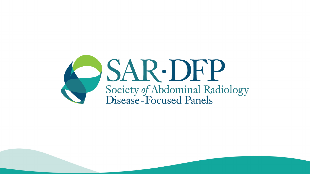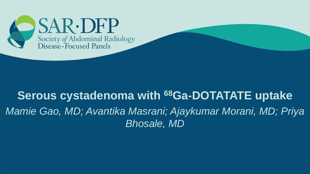

# **Serous cystadenoma with <sup>68</sup>Ga-DOTATATE uptake** *Mamie Gao, MD; Avantika Masrani; Ajaykumar Morani, MD; Priya Bhosale, MD*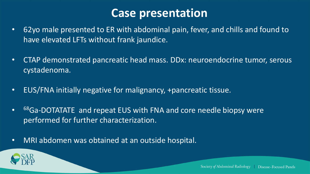#### **Case presentation**

- 62yo male presented to ER with abdominal pain, fever, and chills and found to have elevated LFTs without frank jaundice.
- CTAP demonstrated pancreatic head mass. DDx: neuroendocrine tumor, serous cystadenoma.
- EUS/FNA initially negative for malignancy, +pancreatic tissue.
- $\bullet$ <sup>68</sup>Ga-DOTATATE and repeat EUS with FNA and core needle biopsy were performed for further characterization.
- MRI abdomen was obtained at an outside hospital.

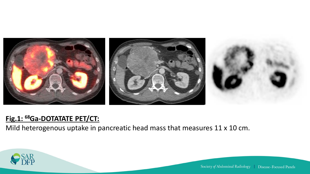

#### **Fig.1: <sup>68</sup>Ga-DOTATATE PET/CT:**

**B C** Mild heterogenous uptake in pancreatic head mass that measures 11 x 10 cm.

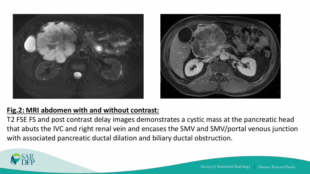



#### **Fig.2: MRI abdomen with and without contrast:**

T2 FSE FS and post contrast delay images demonstrates a cystic mass at the pancreatic head that abuts the IVC and right renal vein and encases the SMV and SMV/portal venous junction with associated pancreatic ductal dilation and biliary ductal obstruction.

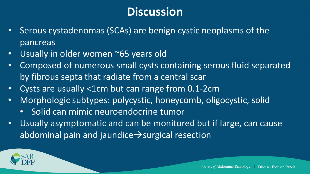- Serous cystadenomas (SCAs) are benign cystic neoplasms of the pancreas
- Usually in older women ~65 years old
- Composed of numerous small cysts containing serous fluid separated by fibrous septa that radiate from a central scar
- Cysts are usually <1cm but can range from 0.1-2cm
- Morphologic subtypes: polycystic, honeycomb, oligocystic, solid
	- Solid can mimic neuroendocrine tumor
- Usually asymptomatic and can be monitored but if large, can cause abdominal pain and jaundice→surgical resection

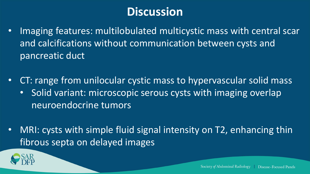- Imaging features: multilobulated multicystic mass with central scar and calcifications without communication between cysts and pancreatic duct
- CT: range from unilocular cystic mass to hypervascular solid mass
	- Solid variant: microscopic serous cysts with imaging overlap neuroendocrine tumors
- MRI: cysts with simple fluid signal intensity on T2, enhancing thin fibrous septa on delayed images

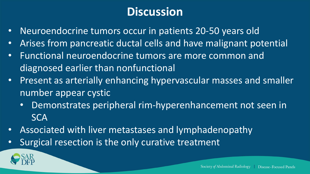- Neuroendocrine tumors occur in patients 20-50 years old
- Arises from pancreatic ductal cells and have malignant potential
- Functional neuroendocrine tumors are more common and diagnosed earlier than nonfunctional
- Present as arterially enhancing hypervascular masses and smaller number appear cystic
	- Demonstrates peripheral rim-hyperenhancement not seen in **SCA**
- Associated with liver metastases and lymphadenopathy
- Surgical resection is the only curative treatment

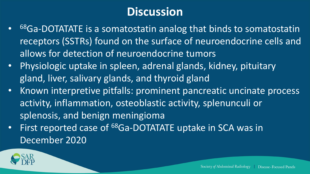- 68Ga-DOTATATE is a somatostatin analog that binds to somatostatin receptors (SSTRs) found on the surface of neuroendocrine cells and allows for detection of neuroendocrine tumors
- Physiologic uptake in spleen, adrenal glands, kidney, pituitary gland, liver, salivary glands, and thyroid gland
- Known interpretive pitfalls: prominent pancreatic uncinate process activity, inflammation, osteoblastic activity, splenunculi or splenosis, and benign meningioma
- First reported case of <sup>68</sup>Ga-DOTATATE uptake in SCA was in December 2020

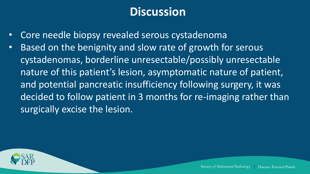- Core needle biopsy revealed serous cystadenoma
- Based on the benignity and slow rate of growth for serous cystadenomas, borderline unresectable/possibly unresectable nature of this patient's lesion, asymptomatic nature of patient, and potential pancreatic insufficiency following surgery, it was decided to follow patient in 3 months for re-imaging rather than surgically excise the lesion.